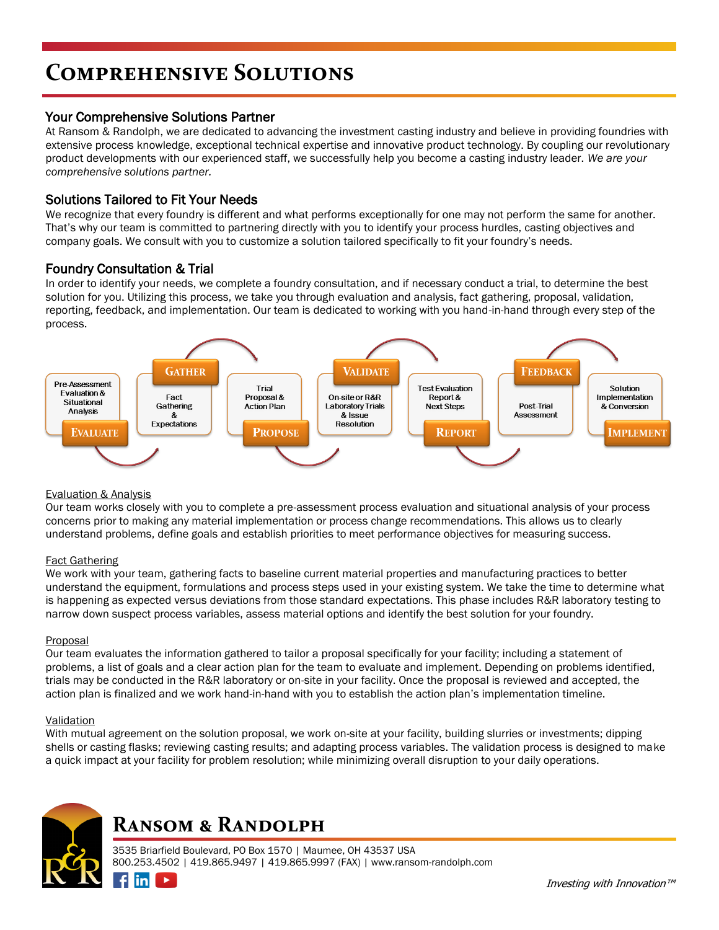# **Comprehensive Solutions**

# Your Comprehensive Solutions Partner

At Ransom & Randolph, we are dedicated to advancing the investment casting industry and believe in providing foundries with extensive process knowledge, exceptional technical expertise and innovative product technology. By coupling our revolutionary product developments with our experienced staff, we successfully help you become a casting industry leader. *We are your comprehensive solutions partner.*

# Solutions Tailored to Fit Your Needs

We recognize that every foundry is different and what performs exceptionally for one may not perform the same for another. That's why our team is committed to partnering directly with you to identify your process hurdles, casting objectives and company goals. We consult with you to customize a solution tailored specifically to fit your foundry's needs.

# Foundry Consultation & Trial

In order to identify your needs, we complete a foundry consultation, and if necessary conduct a trial, to determine the best solution for you. Utilizing this process, we take you through evaluation and analysis, fact gathering, proposal, validation, reporting, feedback, and implementation. Our team is dedicated to working with you hand-in-hand through every step of the process.



### Evaluation & Analysis

Our team works closely with you to complete a pre-assessment process evaluation and situational analysis of your process concerns prior to making any material implementation or process change recommendations. This allows us to clearly understand problems, define goals and establish priorities to meet performance objectives for measuring success.

### Fact Gathering

We work with your team, gathering facts to baseline current material properties and manufacturing practices to better understand the equipment, formulations and process steps used in your existing system. We take the time to determine what is happening as expected versus deviations from those standard expectations. This phase includes R&R laboratory testing to narrow down suspect process variables, assess material options and identify the best solution for your foundry.

### **Proposal**

Our team evaluates the information gathered to tailor a proposal specifically for your facility; including a statement of problems, a list of goals and a clear action plan for the team to evaluate and implement. Depending on problems identified, trials may be conducted in the R&R laboratory or on-site in your facility. Once the proposal is reviewed and accepted, the action plan is finalized and we work hand-in-hand with you to establish the action plan's implementation timeline.

### **Validation**

With mutual agreement on the solution proposal, we work on-site at your facility, building slurries or investments; dipping shells or casting flasks; reviewing casting results; and adapting process variables. The validation process is designed to make a quick impact at your facility for problem resolution; while minimizing overall disruption to your daily operations.



 $\n *final*\n$ 

 $\blacktriangleright$ 

# **Ransom & Randolph**

3535 Briarfield Boulevard, PO Box 1570 | Maumee, OH 43537 USA 800.253.4502 | 419.865.9497 | 419.865.9997 (FAX) | www.ransom-randolph.com